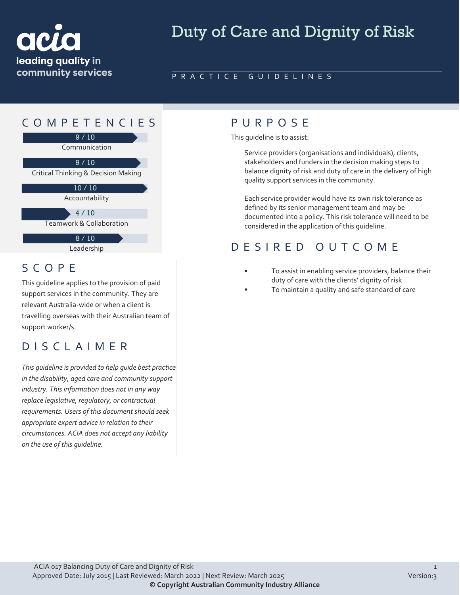

# Duty of Care and Dignity of Risk

#### PRACTICE GUIDELINES

## COMPETENCIES PURPOS E



Leadership

#### SCOPE

This guideline applies to the provision of paid support services in the community. They are relevant Australia-wide or when a client is travelling overseas with their Australian team of support worker/s.

#### DISCLAIMER

*This guideline is provided to help guide best practice in the disability, aged care and community support industry. This information does not in any way replace legislative, regulatory, or contractual requirements. Users of this document should seek appropriate expert advice in relation to their circumstances. ACIA does not accept any liability on the use of this guideline.*

This guideline is to assist:

Service providers (organisations and individuals), clients, stakeholders and funders in the decision making steps to balance dignity of risk and duty of care in the delivery of high quality support services in the community.

Each service provider would have its own risk tolerance as defined by its senior management team and may be documented into a policy. This risk tolerance will need to be considered in the application of this guideline.

#### DESIRED OUTCOME

- To assist in enabling service providers, balance their duty of care with the clients' dignity of risk
- To maintain a quality and safe standard of care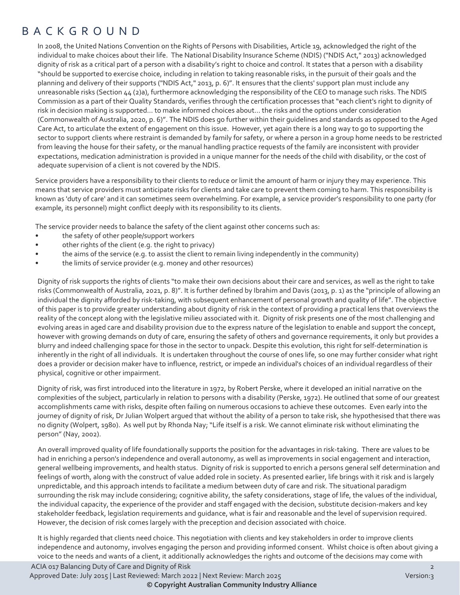#### BACKGROUND

In 2008, the United Nations Convention on the Rights of Persons with Disabilities, Article 19, acknowledged the right of the individual to make choices about their life. The National Disability Insurance Scheme (NDIS) ("NDIS Act," 2013) acknowledged dignity of risk as a critical part of a person with a disability's right to choice and control. It states that a person with a disability "should be supported to exercise choice, including in relation to taking reasonable risks, in the pursuit of their goals and the planning and delivery of their supports ("NDIS Act," 2013, p. 6)". It ensures that the clients' support plan must include any unreasonable risks (Section 44 (2)a), furthermore acknowledging the responsibility of the CEO to manage such risks. The NDIS Commission as a part of their Quality Standards, verifies through the certification processes that "each client's right to dignity of risk in decision making is supported… to make informed choices about… the risks and the options under consideration (Commonwealth of Australia, 2020, p. 6)". The NDIS does go further within their guidelines and standards as opposed to the Aged Care Act, to articulate the extent of engagement on this issue. However, yet again there is a long way to go to supporting the sector to support clients where restraint is demanded by family for safety, or where a person in a group home needs to be restricted from leaving the house for their safety, or the manual handling practice requests of the family are inconsistent with provider expectations, medication administration is provided in a unique manner for the needs of the child with disability, or the cost of adequate supervision of a client is not covered by the NDIS.

Service providers have a responsibility to their clients to reduce or limit the amount of harm or injury they may experience. This means that service providers must anticipate risks for clients and take care to prevent them coming to harm. This responsibility is known as 'duty of care' and it can sometimes seem overwhelming. For example, a service provider's responsibility to one party (for example, its personnel) might conflict deeply with its responsibility to its clients.

The service provider needs to balance the safety of the client against other concerns such as:

- the safety of other people/support workers
- other rights of the client (e.g. the right to privacy)
- the aims of the service (e.g. to assist the client to remain living independently in the community)
- the limits of service provider (e.g. money and other resources)

Dignity of risk supports the rights of clients "to make their own decisions about their care and services, as well as the right to take risks (Commonwealth of Australia, 2021, p. 8)". It is further defined by Ibrahim and Davis (2013, p. 1) as the "principle of allowing an individual the dignity afforded by risk-taking, with subsequent enhancement of personal growth and quality of life". The objective of this paper is to provide greater understanding about dignity of risk in the context of providing a practical lens that overviews the reality of the concept along with the legislative milieu associated with it. Dignity of risk presents one of the most challenging and evolving areas in aged care and disability provision due to the express nature of the legislation to enable and support the concept, however with growing demands on duty of care, ensuring the safety of others and governance requirements, it only but provides a blurry and indeed challenging space for those in the sector to unpack. Despite this evolution, this right for self-determination is inherently in the right of all individuals. It is undertaken throughout the course of ones life, so one may further consider what right does a provider or decision maker have to influence, restrict, or impede an individual's choices of an individual regardless of their physical, cognitive or other impairment.

Dignity of risk, was first introduced into the literature in 1972, by Robert Perske, where it developed an initial narrative on the complexities of the subject, particularly in relation to persons with a disability (Perske, 1972). He outlined that some of our greatest accomplishments came with risks, despite often failing on numerous occasions to achieve these outcomes. Even early into the journey of dignity of risk, Dr Julian Wolpert argued that without the ability of a person to take risk, she hypothesised that there was no dignity (Wolpert, 1980). As well put by Rhonda Nay; "Life itself is a risk. We cannot eliminate risk without eliminating the person" (Nay, 2002).

An overall improved quality of life foundationally supports the position for the advantages in risk-taking. There are values to be had in enriching a person's independence and overall autonomy, as well as improvements in social engagement and interaction, general wellbeing improvements, and health status. Dignity of risk is supported to enrich a persons general self determination and feelings of worth, along with the construct of value added role in society. As presented earlier, life brings with it risk and is largely unpredictable, and this approach intends to facilitate a medium between duty of care and risk. The situational paradigm surrounding the risk may include considering; cognitive ability, the safety considerations, stage of life, the values of the individual, the individual capacity, the experience of the provider and staff engaged with the decision, substitute decision-makers and key stakeholder feedback, legislation requirements and guidance, what is fair and reasonable and the level of supervision required. However, the decision of risk comes largely with the preception and decision associated with choice.

ACIA 017 Balancing Duty of Care and Dignity of Risk 2 It is highly regarded that clients need choice. This negotiation with clients and key stakeholders in order to improve clients independence and autonomy, involves engaging the person and providing informed consent. Whilst choice is often about giving a voice to the needs and wants of a client, it additionally acknowledges the rights and outcome of the decisions may come with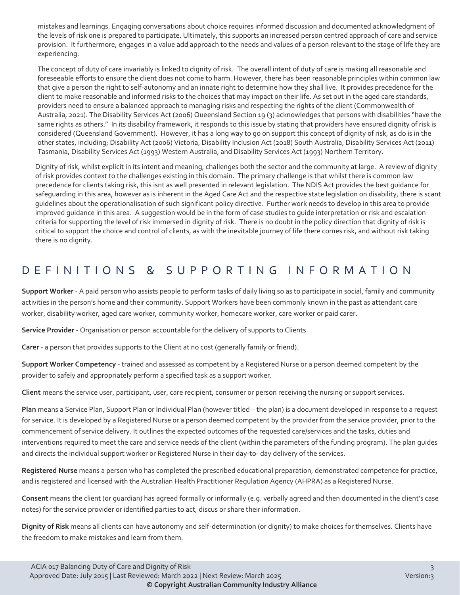mistakes and learnings. Engaging conversations about choice requires informed discussion and documented acknowledgment of the levels of risk one is prepared to participate. Ultimately, this supports an increased person centred approach of care and service provision. It furthermore, engages in a value add approach to the needs and values of a person relevant to the stage of life they are experiencing.

The concept of duty of care invariably is linked to dignity of risk. The overall intent of duty of care is making all reasonable and foreseeable efforts to ensure the client does not come to harm. However, there has been reasonable principles within common law that give a person the right to self-autonomy and an innate right to determine how they shall live. It provides precedence for the client to make reasonable and informed risks to the choices that may impact on their life. As set out in the aged care standards, providers need to ensure a balanced approach to managing risks and respecting the rights of the client (Commonwealth of Australia, 2021). The Disability Services Act (2006) Queensland Section 19 (3) acknowledges that persons with disabilities "have the same rights as others." In its disability framework, it responds to this issue by stating that providers have ensured dignity of risk is considered (Queensland Government). However, it has a long way to go on support this concept of dignity of risk, as do is in the other states, including; Disability Act (2006) Victoria, Disability Inclusion Act (2018) South Australia, Disability Services Act (2011) Tasmania, Disability Services Act (1993) Western Australia, and Disability Services Act (1993) Northern Territory.

Dignity of risk, whilst explicit in its intent and meaning, challenges both the sector and the community at large. A review of dignity of risk provides context to the challenges existing in this domain. The primary challenge is that whilst there is common law precedence for clients taking risk, this isnt as well presented in relevant legislation. The NDIS Act provides the best guidance for safeguarding in this area, however as is inherent in the Aged Care Act and the respective state legislation on disability, there is scant guidelines about the operationalisation of such significant policy directive. Further work needs to develop in this area to provide improved guidance in this area. A suggestion would be in the form of case studies to guide interpretation or risk and escalation criteria for supporting the level of risk immersed in dignity of risk. There is no doubt in the policy direction that dignity of risk is critical to support the choice and control of clients, as with the inevitable journey of life there comes risk, and without risk taking there is no dignity.

#### DEFINITIONS & SUPPORTING INFORMATIO N

**Support Worker** - A paid person who assists people to perform tasks of daily living so as to participate in social, family and community activities in the person's home and their community. Support Workers have been commonly known in the past as attendant care worker, disability worker, aged care worker, community worker, homecare worker, care worker or paid carer.

**Service Provider** - Organisation or person accountable for the delivery of supports to Clients.

**Carer** - a person that provides supports to the Client at no cost (generally family or friend).

**Support Worker Competency** - trained and assessed as competent by a Registered Nurse or a person deemed competent by the provider to safely and appropriately perform a specified task as a support worker.

**Client** means the service user, participant, user, care recipient, consumer or person receiving the nursing or support services.

**Plan** means a Service Plan, Support Plan or Individual Plan (however titled – the plan) is a document developed in response to a request for service. It is developed by a Registered Nurse or a person deemed competent by the provider from the service provider, prior to the commencement of service delivery. It outlines the expected outcomes of the requested care/services and the tasks, duties and interventions required to meet the care and service needs of the client (within the parameters of the funding program). The plan guides and directs the individual support worker or Registered Nurse in their day-to- day delivery of the services.

**Registered Nurse** means a person who has completed the prescribed educational preparation, demonstrated competence for practice, and is registered and licensed with the Australian Health Practitioner Regulation Agency (AHPRA) as a Registered Nurse.

**Consent** means the client (or guardian) has agreed formally or informally (e.g. verbally agreed and then documented in the client's case notes) for the service provider or identified parties to act, discus or share their information.

**Dignity of Risk** means all clients can have autonomy and self-determination (or dignity) to make choices for themselves. Clients have the freedom to make mistakes and learn from them.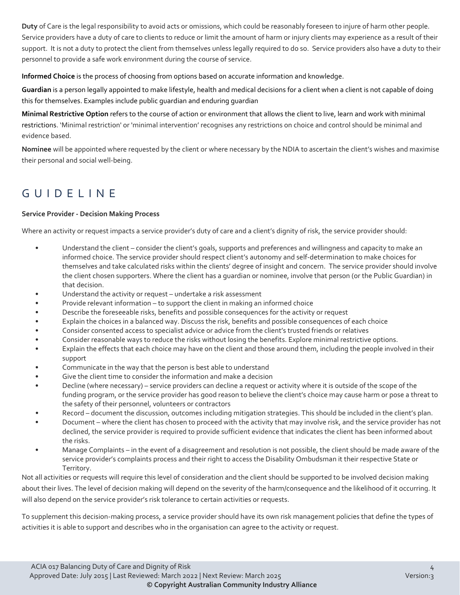**Duty** of Care is the legal responsibility to avoid acts or omissions, which could be reasonably foreseen to injure of harm other people. Service providers have a duty of care to clients to reduce or limit the amount of harm or injury clients may experience as a result of their support. It is not a duty to protect the client from themselves unless legally required to do so. Service providers also have a duty to their personnel to provide a safe work environment during the course of service.

**Informed Choice** is the process of choosing from options based on accurate information and knowledge.

**Guardian** is a person legally appointed to make lifestyle, health and medical decisions for a client when a client is not capable of doing this for themselves. Examples include public guardian and enduring guardian

**Minimal Restrictive Option** refers to the course of action or environment that allows the client to live, learn and work with minimal restrictions. 'Minimal restriction' or 'minimal intervention' recognises any restrictions on choice and control should be minimal and evidence based.

**Nominee** will be appointed where requested by the client or where necessary by the NDIA to ascertain the client's wishes and maximise their personal and social well-being.

## GUIDEL INE

#### **Service Provider - Decision Making Process**

Where an activity or request impacts a service provider's duty of care and a client's dignity of risk, the service provider should:

- Understand the client consider the client's goals, supports and preferences and willingness and capacity to make an informed choice. The service provider should respect client's autonomy and self-determination to make choices for themselves and take calculated risks within the clients' degree of insight and concern. The service provider should involve the client chosen supporters. Where the client has a guardian or nominee, involve that person (or the Public Guardian) in that decision.
- Understand the activity or request undertake a risk assessment
- Provide relevant information to support the client in making an informed choice
- Describe the foreseeable risks, benefits and possible consequences for the activity or request
- Explain the choices in a balanced way. Discuss the risk, benefits and possible consequences of each choice
- Consider consented access to specialist advice or advice from the client's trusted friends or relatives
- Consider reasonable ways to reduce the risks without losing the benefits. Explore minimal restrictive options.
- Explain the effects that each choice may have on the client and those around them, including the people involved in their support
- Communicate in the way that the person is best able to understand
- Give the client time to consider the information and make a decision
- Decline (where necessary) service providers can decline a request or activity where it is outside of the scope of the funding program, or the service provider has good reason to believe the client's choice may cause harm or pose a threat to the safety of their personnel, volunteers or contractors
- Record document the discussion, outcomes including mitigation strategies. This should be included in the client's plan.
- Document where the client has chosen to proceed with the activity that may involve risk, and the service provider has not declined, the service provider is required to provide sufficient evidence that indicates the client has been informed about the risks.
- Manage Complaints in the event of a disagreement and resolution is not possible, the client should be made aware of the service provider's complaints process and their right to access the Disability Ombudsman it their respective State or Territory.

Not all activities or requests will require this level of consideration and the client should be supported to be involved decision making about their lives. The level of decision making will depend on the severity of the harm/consequence and the likelihood of it occurring. It will also depend on the service provider's risk tolerance to certain activities or requests.

To supplement this decision-making process, a service provider should have its own risk management policies that define the types of activities it is able to support and describes who in the organisation can agree to the activity or request.